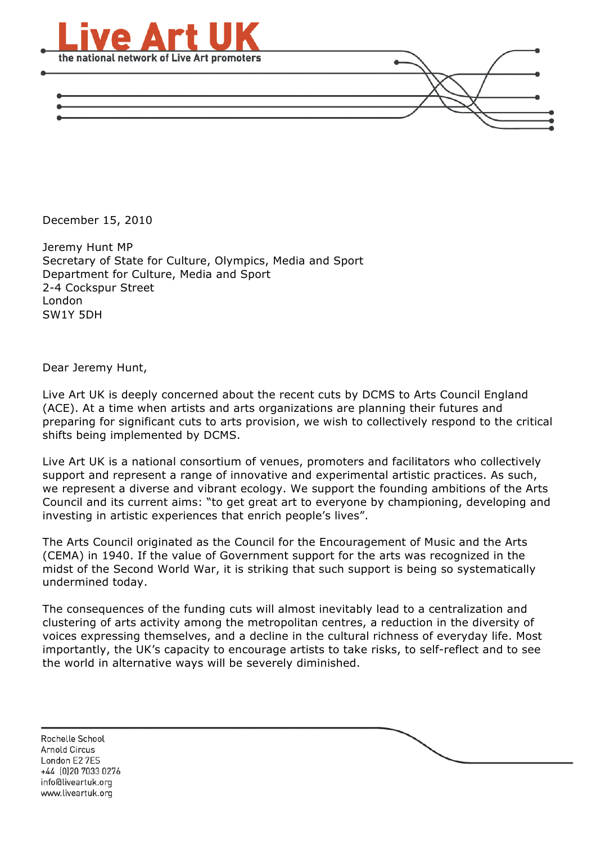

December 15, 2010

Jeremy Hunt MP Secretary of State for Culture, Olympics, Media and Sport Department for Culture, Media and Sport 2-4 Cockspur Street London SW1Y 5DH

Dear Jeremy Hunt,

Live Art UK is deeply concerned about the recent cuts by DCMS to Arts Council England (ACE). At a time when artists and arts organizations are planning their futures and preparing for significant cuts to arts provision, we wish to collectively respond to the critical shifts being implemented by DCMS.

Live Art UK is a national consortium of venues, promoters and facilitators who collectively support and represent a range of innovative and experimental artistic practices. As such, we represent a diverse and vibrant ecology. We support the founding ambitions of the Arts Council and its current aims: "to get great art to everyone by championing, developing and investing in artistic experiences that enrich people's lives".

The Arts Council originated as the Council for the Encouragement of Music and the Arts (CEMA) in 1940. If the value of Government support for the arts was recognized in the midst of the Second World War, it is striking that such support is being so systematically undermined today.

The consequences of the funding cuts will almost inevitably lead to a centralization and clustering of arts activity among the metropolitan centres, a reduction in the diversity of voices expressing themselves, and a decline in the cultural richness of everyday life. Most importantly, the UK's capacity to encourage artists to take risks, to self-reflect and to see the world in alternative ways will be severely diminished.

Rochelle School **Arnold Circus** London E2 7ES +44 (0)20 7033 0276 info@liveartuk.org www.liveartuk.org